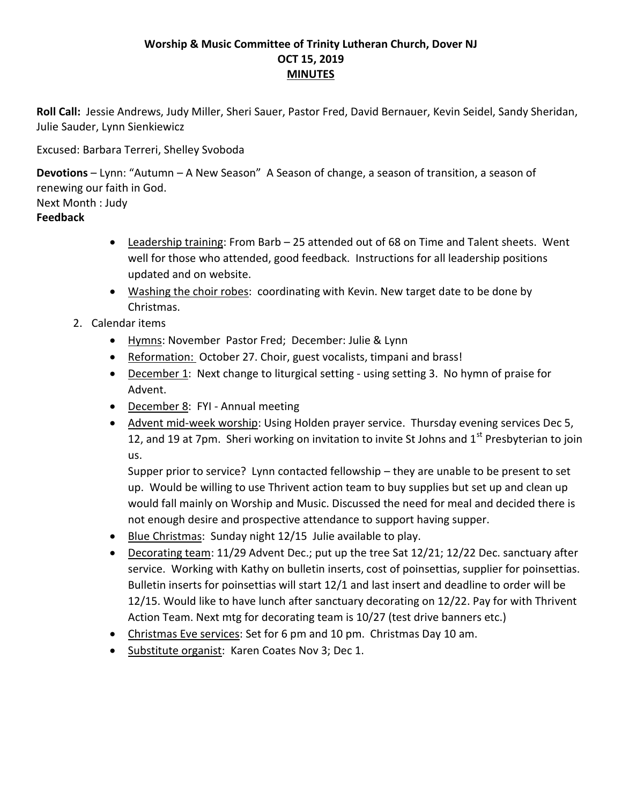## **Worship & Music Committee of Trinity Lutheran Church, Dover NJ OCT 15, 2019 MINUTES**

**Roll Call:** Jessie Andrews, Judy Miller, Sheri Sauer, Pastor Fred, David Bernauer, Kevin Seidel, Sandy Sheridan, Julie Sauder, Lynn Sienkiewicz

Excused: Barbara Terreri, Shelley Svoboda

**Devotions** – Lynn: "Autumn – A New Season" A Season of change, a season of transition, a season of renewing our faith in God.

Next Month : Judy

## **Feedback**

- Leadership training: From Barb 25 attended out of 68 on Time and Talent sheets. Went well for those who attended, good feedback. Instructions for all leadership positions updated and on website.
- Washing the choir robes: coordinating with Kevin. New target date to be done by Christmas.
- 2. Calendar items
	- Hymns: November Pastor Fred; December: Julie & Lynn
	- Reformation: October 27. Choir, guest vocalists, timpani and brass!
	- December 1: Next change to liturgical setting using setting 3. No hymn of praise for Advent.
	- December 8: FYI Annual meeting
	- Advent mid-week worship: Using Holden prayer service. Thursday evening services Dec 5, 12, and 19 at 7pm. Sheri working on invitation to invite St Johns and  $1<sup>st</sup>$  Presbyterian to join us.

Supper prior to service? Lynn contacted fellowship – they are unable to be present to set up. Would be willing to use Thrivent action team to buy supplies but set up and clean up would fall mainly on Worship and Music. Discussed the need for meal and decided there is not enough desire and prospective attendance to support having supper.

- **Blue Christmas: Sunday night 12/15 Julie available to play.**
- Decorating team: 11/29 Advent Dec.; put up the tree Sat 12/21; 12/22 Dec. sanctuary after service. Working with Kathy on bulletin inserts, cost of poinsettias, supplier for poinsettias. Bulletin inserts for poinsettias will start 12/1 and last insert and deadline to order will be 12/15. Would like to have lunch after sanctuary decorating on 12/22. Pay for with Thrivent Action Team. Next mtg for decorating team is 10/27 (test drive banners etc.)
- Christmas Eve services: Set for 6 pm and 10 pm. Christmas Day 10 am.
- Substitute organist: Karen Coates Nov 3; Dec 1.